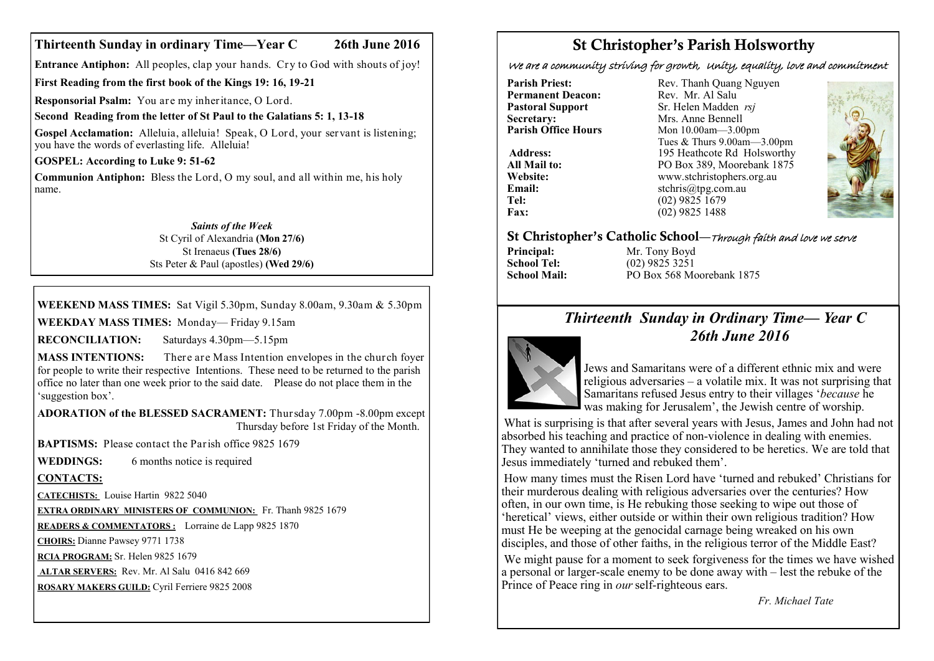#### **Thirteenth Sunday in ordinary Time—Year C 26th June 2016**

**Entrance Antiphon:** All peoples, clap your hands. Cry to God with shouts of joy!

**First Reading from the first book of the Kings 19: 16, 19-21** 

**Responsorial Psalm:** You are my inheritance, O Lord.

**Second Reading from the letter of St Paul to the Galatians 5: 1, 13-18**

**Gospel Acclamation:** Alleluia, alleluia! Speak, O Lord, your servant is listening; you have the words of everlasting life. Alleluia!

**GOSPEL: According to Luke 9: 51-62**

**Communion Antiphon:** Bless the Lord, O my soul, and all within me, his holy name.

> *Saints of the Week* St Cyril of Alexandria **(Mon 27/6)** St Irenaeus **(Tues 28/6)** Sts Peter & Paul (apostles) **(Wed 29/6)**

### **WEEKEND MASS TIMES:** Sat Vigil 5.30pm, Sunday 8.00am, 9.30am & 5.30pm

**WEEKDAY MASS TIMES:** Monday— Friday 9.15am

**RECONCILIATION:** Saturdays 4.30pm—5.15pm

**MASS INTENTIONS:** There are Mass Intention envelopes in the church foyer for people to write their respective Intentions. These need to be returned to the parish office no later than one week prior to the said date. Please do not place them in the 'suggestion box'.

**ADORATION of the BLESSED SACRAMENT:** Thursday 7.00pm -8.00pm except Thursday before 1st Friday of the Month.

**BAPTISMS:** Please contact the Parish office 9825 1679

**WEDDINGS:** 6 months notice is required

**CONTACTS:**

**CATECHISTS:** Louise Hartin 9822 5040

**EXTRA ORDINARY MINISTERS OF COMMUNION:** Fr. Thanh 9825 1679

**READERS & COMMENTATORS :** Lorraine de Lapp 9825 1870

**CHOIRS:** Dianne Pawsey 9771 1738

**RCIA PROGRAM:** Sr. Helen 9825 1679

**ALTAR SERVERS:** Rev. Mr. Al Salu 0416 842 669

**ROSARY MAKERS GUILD:** Cyril Ferriere 9825 2008

# St Christopher's Parish Holsworthy

We are a community striving for growth, Unity, equality, love and commitment

**Permanent Deacon:**<br>Pastoral Support **Secretary:** Mrs. Anne Bennell<br> **Parish Office Hours** Mon 10 00am - 3 00

**Parish Priest:** Rev. Thanh Quang Nguyen<br> **Permanent Deacon:** Rev. Mr. Al Salu **Pastoral Support** Sr. Helen Madden *rsj*<br>
Secretary: Mrs. Anne Bennell **Mon 10.00am—3.00pm** Tues & Thurs 9.00am—3.00pm Address: 195 Heathcote Rd Holsworthy **All Mail to:** PO Box 389, Moorebank 1875 **Website:** www.stchristophers.org.au<br> **Email:** stchris@tng.com au **Email:** stchris@tpg.com.au<br> **Tel:** (02) 9825 1679 **Tel:** (02) 9825 1679<br>**Fax:** (02) 9825 1488 **Fax:** (02) 9825 1488



## St Christopher's Catholic School—Through faith and love we serve

**Principal:** Mr. Tony Boyd<br> **School Tel:** (02) 9825 3251 **School Tel:** (02) 9825 3251<br>**School Mail:** PO Box 568 Me **School Mail:** PO Box 568 Moorebank 1875

# *Thirteenth Sunday in Ordinary Time— Year C 26th June 2016*



Jews and Samaritans were of a different ethnic mix and were religious adversaries – a volatile mix. It was not surprising that Samaritans refused Jesus entry to their villages '*because* he was making for Jerusalem', the Jewish centre of worship.

What is surprising is that after several years with Jesus, James and John had not absorbed his teaching and practice of non-violence in dealing with enemies. They wanted to annihilate those they considered to be heretics. We are told that Jesus immediately 'turned and rebuked them'.

How many times must the Risen Lord have 'turned and rebuked' Christians for their murderous dealing with religious adversaries over the centuries? How often, in our own time, is He rebuking those seeking to wipe out those of 'heretical' views, either outside or within their own religious tradition? How must He be weeping at the genocidal carnage being wreaked on his own disciples, and those of other faiths, in the religious terror of the Middle East?

We might pause for a moment to seek forgiveness for the times we have wished a personal or larger-scale enemy to be done away with – lest the rebuke of the Prince of Peace ring in *our*self-righteous ears.

*Fr. Michael Tate*